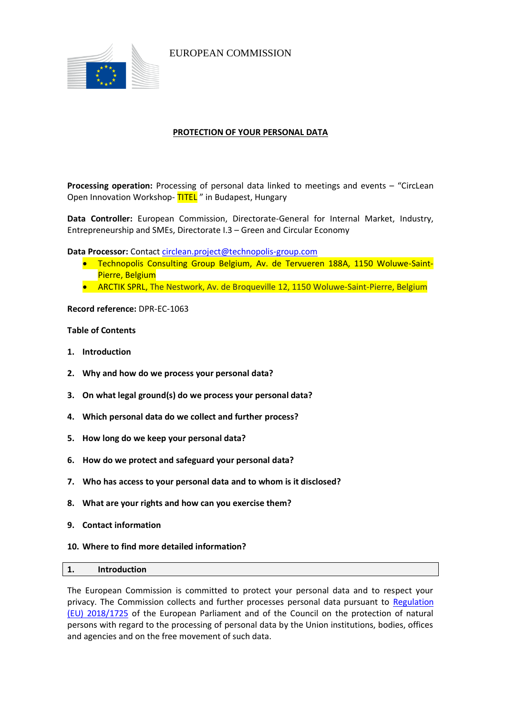

EUROPEAN COMMISSION

# **PROTECTION OF YOUR PERSONAL DATA**

**Processing operation:** Processing of personal data linked to meetings and events – "CircLean Open Innovation Workshop-TITEL" in Budapest, Hungary

**Data Controller:** European Commission, Directorate-General for Internal Market, Industry, Entrepreneurship and SMEs, Directorate I.3 – Green and Circular Economy

**Data Processor:** Contac[t circlean.project@technopolis-group.com](mailto:circlean.project@technopolis-group.com)

- Technopolis Consulting Group Belgium, Av. de Tervueren 188A, 1150 Woluwe-Saint-Pierre, Belgium
- ARCTIK SPRL, The Nestwork, Av. de Broqueville 12, 1150 Woluwe-Saint-Pierre, Belgium

**Record reference:** DPR-EC-1063

## **Table of Contents**

- **1. Introduction**
- **2. Why and how do we process your personal data?**
- **3. On what legal ground(s) do we process your personal data?**
- **4. Which personal data do we collect and further process?**
- **5. How long do we keep your personal data?**
- **6. How do we protect and safeguard your personal data?**
- **7. Who has access to your personal data and to whom is it disclosed?**
- **8. What are your rights and how can you exercise them?**
- **9. Contact information**
- **10. Where to find more detailed information?**

#### **1. Introduction**

The European Commission is committed to protect your personal data and to respect your privacy. The Commission collects and further processes personal data pursuant to Regulation [\(EU\) 2018/1725](https://eur-lex.europa.eu/legal-content/EN/TXT/?uri=uriserv:OJ.L_.2018.295.01.0039.01.ENG&toc=OJ:L:2018:295:TOC) of the European Parliament and of the Council on the protection of natural persons with regard to the processing of personal data by the Union institutions, bodies, offices and agencies and on the free movement of such data.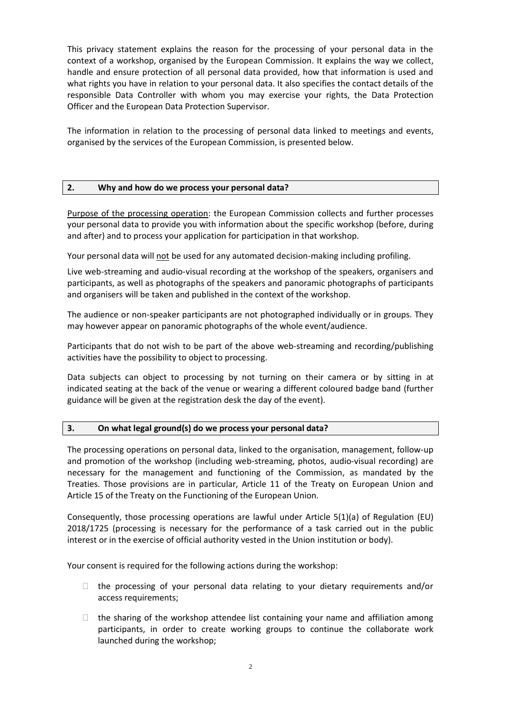This privacy statement explains the reason for the processing of your personal data in the context of a workshop, organised by the European Commission. It explains the way we collect, handle and ensure protection of all personal data provided, how that information is used and what rights you have in relation to your personal data. It also specifies the contact details of the responsible Data Controller with whom you may exercise your rights, the Data Protection Officer and the European Data Protection Supervisor.

The information in relation to the processing of personal data linked to meetings and events, organised by the services of the European Commission, is presented below.

## **2. Why and how do we process your personal data?**

Purpose of the processing operation: the European Commission collects and further processes your personal data to provide you with information about the specific workshop (before, during and after) and to process your application for participation in that workshop.

Your personal data will not be used for any automated decision-making including profiling.

Live web-streaming and audio-visual recording at the workshop of the speakers, organisers and participants, as well as photographs of the speakers and panoramic photographs of participants and organisers will be taken and published in the context of the workshop.

The audience or non-speaker participants are not photographed individually or in groups. They may however appear on panoramic photographs of the whole event/audience.

Participants that do not wish to be part of the above web-streaming and recording/publishing activities have the possibility to object to processing.

Data subjects can object to processing by not turning on their camera or by sitting in at indicated seating at the back of the venue or wearing a different coloured badge band (further guidance will be given at the registration desk the day of the event).

## **3. On what legal ground(s) do we process your personal data?**

The processing operations on personal data, linked to the organisation, management, follow-up and promotion of the workshop (including web-streaming, photos, audio-visual recording) are necessary for the management and functioning of the Commission, as mandated by the Treaties. Those provisions are in particular, Article 11 of the Treaty on European Union and Article 15 of the Treaty on the Functioning of the European Union.

Consequently, those processing operations are lawful under Article 5(1)(a) of Regulation (EU) 2018/1725 (processing is necessary for the performance of a task carried out in the public interest or in the exercise of official authority vested in the Union institution or body).

Your consent is required for the following actions during the workshop:

- $\Box$  the processing of your personal data relating to your dietary requirements and/or access requirements;
- $\Box$  the sharing of the workshop attendee list containing your name and affiliation among participants, in order to create working groups to continue the collaborate work launched during the workshop;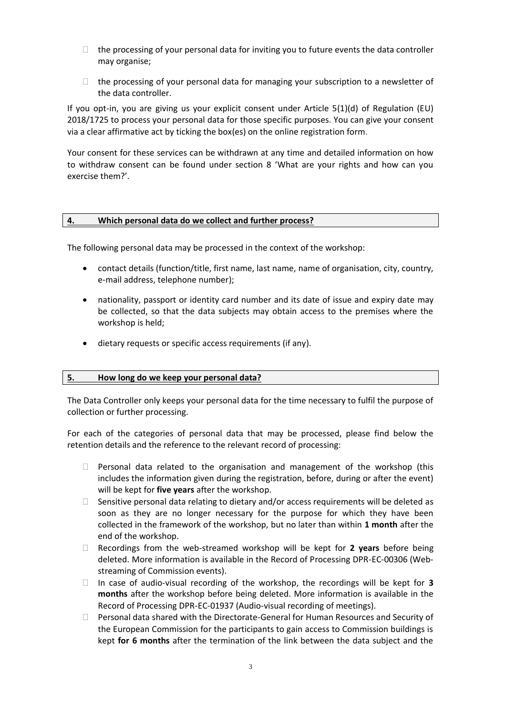- $\Box$  the processing of your personal data for inviting you to future events the data controller may organise;
- $\Box$  the processing of your personal data for managing your subscription to a newsletter of the data controller.

If you opt-in, you are giving us your explicit consent under Article 5(1)(d) of Regulation (EU) 2018/1725 to process your personal data for those specific purposes. You can give your consent via a clear affirmative act by ticking the box(es) on the online registration form.

Your consent for these services can be withdrawn at any time and detailed information on how to withdraw consent can be found under section 8 'What are your rights and how can you exercise them?'.

#### **4. Which personal data do we collect and further process?**

The following personal data may be processed in the context of the workshop:

- contact details (function/title, first name, last name, name of organisation, city, country, e-mail address, telephone number);
- nationality, passport or identity card number and its date of issue and expiry date may be collected, so that the data subjects may obtain access to the premises where the workshop is held;
- dietary requests or specific access requirements (if any).

#### **5. How long do we keep your personal data?**

The Data Controller only keeps your personal data for the time necessary to fulfil the purpose of collection or further processing.

For each of the categories of personal data that may be processed, please find below the retention details and the reference to the relevant record of processing:

- $\Box$  Personal data related to the organisation and management of the workshop (this includes the information given during the registration, before, during or after the event) will be kept for **five years** after the workshop.
- $\Box$  Sensitive personal data relating to dietary and/or access requirements will be deleted as soon as they are no longer necessary for the purpose for which they have been collected in the framework of the workshop, but no later than within **1 month** after the end of the workshop.
- Recordings from the web-streamed workshop will be kept for **2 years** before being deleted. More information is available in the Record of Processing DPR-EC-00306 (Webstreaming of Commission events).
- In case of audio-visual recording of the workshop, the recordings will be kept for **3 months** after the workshop before being deleted. More information is available in the Record of Processing DPR-EC-01937 (Audio-visual recording of meetings).
- $\Box$  Personal data shared with the Directorate-General for Human Resources and Security of the European Commission for the participants to gain access to Commission buildings is kept **for 6 months** after the termination of the link between the data subject and the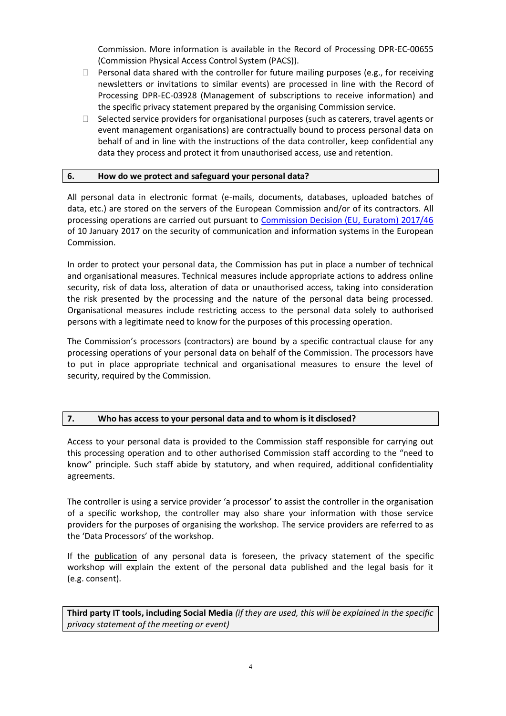Commission. More information is available in the Record of Processing DPR-EC-00655 (Commission Physical Access Control System (PACS)).

- $\Box$  Personal data shared with the controller for future mailing purposes (e.g., for receiving newsletters or invitations to similar events) are processed in line with the Record of Processing DPR-EC-03928 (Management of subscriptions to receive information) and the specific privacy statement prepared by the organising Commission service.
- $\Box$  Selected service providers for organisational purposes (such as caterers, travel agents or event management organisations) are contractually bound to process personal data on behalf of and in line with the instructions of the data controller, keep confidential any data they process and protect it from unauthorised access, use and retention.

## **6. How do we protect and safeguard your personal data?**

All personal data in electronic format (e-mails, documents, databases, uploaded batches of data, etc.) are stored on the servers of the European Commission and/or of its contractors. All processing operations are carried out pursuant to [Commission Decision \(EU, Euratom\) 2017/46](https://eur-lex.europa.eu/legal-content/EN/TXT/?qid=1548093747090&uri=CELEX:32017D0046) of 10 January 2017 on the security of communication and information systems in the European Commission.

In order to protect your personal data, the Commission has put in place a number of technical and organisational measures. Technical measures include appropriate actions to address online security, risk of data loss, alteration of data or unauthorised access, taking into consideration the risk presented by the processing and the nature of the personal data being processed. Organisational measures include restricting access to the personal data solely to authorised persons with a legitimate need to know for the purposes of this processing operation.

The Commission's processors (contractors) are bound by a specific contractual clause for any processing operations of your personal data on behalf of the Commission. The processors have to put in place appropriate technical and organisational measures to ensure the level of security, required by the Commission.

## **7. Who has access to your personal data and to whom is it disclosed?**

Access to your personal data is provided to the Commission staff responsible for carrying out this processing operation and to other authorised Commission staff according to the "need to know" principle. Such staff abide by statutory, and when required, additional confidentiality agreements.

The controller is using a service provider 'a processor' to assist the controller in the organisation of a specific workshop, the controller may also share your information with those service providers for the purposes of organising the workshop. The service providers are referred to as the 'Data Processors' of the workshop.

If the publication of any personal data is foreseen, the privacy statement of the specific workshop will explain the extent of the personal data published and the legal basis for it (e.g. consent).

**Third party IT tools, including Social Media** *(if they are used, this will be explained in the specific privacy statement of the meeting or event)*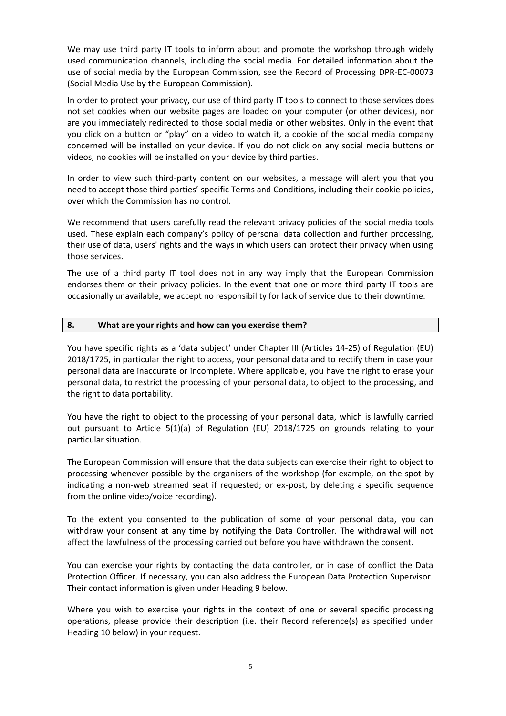We may use third party IT tools to inform about and promote the workshop through widely used communication channels, including the social media. For detailed information about the use of social media by the European Commission, see the Record of Processing DPR-EC-00073 (Social Media Use by the European Commission).

In order to protect your privacy, our use of third party IT tools to connect to those services does not set cookies when our website pages are loaded on your computer (or other devices), nor are you immediately redirected to those social media or other websites. Only in the event that you click on a button or "play" on a video to watch it, a cookie of the social media company concerned will be installed on your device. If you do not click on any social media buttons or videos, no cookies will be installed on your device by third parties.

In order to view such third-party content on our websites, a message will alert you that you need to accept those third parties' specific Terms and Conditions, including their cookie policies, over which the Commission has no control.

We recommend that users carefully read the relevant privacy policies of the social media tools used. These explain each company's policy of personal data collection and further processing, their use of data, users' rights and the ways in which users can protect their privacy when using those services.

The use of a third party IT tool does not in any way imply that the European Commission endorses them or their privacy policies. In the event that one or more third party IT tools are occasionally unavailable, we accept no responsibility for lack of service due to their downtime.

#### **8. What are your rights and how can you exercise them?**

You have specific rights as a 'data subject' under Chapter III (Articles 14-25) of Regulation (EU) 2018/1725, in particular the right to access, your personal data and to rectify them in case your personal data are inaccurate or incomplete. Where applicable, you have the right to erase your personal data, to restrict the processing of your personal data, to object to the processing, and the right to data portability.

You have the right to object to the processing of your personal data, which is lawfully carried out pursuant to Article 5(1)(a) of Regulation (EU) 2018/1725 on grounds relating to your particular situation.

The European Commission will ensure that the data subjects can exercise their right to object to processing whenever possible by the organisers of the workshop (for example, on the spot by indicating a non-web streamed seat if requested; or ex-post, by deleting a specific sequence from the online video/voice recording).

To the extent you consented to the publication of some of your personal data, you can withdraw your consent at any time by notifying the Data Controller. The withdrawal will not affect the lawfulness of the processing carried out before you have withdrawn the consent.

You can exercise your rights by contacting the data controller, or in case of conflict the Data Protection Officer. If necessary, you can also address the European Data Protection Supervisor. Their contact information is given under Heading 9 below.

Where you wish to exercise your rights in the context of one or several specific processing operations, please provide their description (i.e. their Record reference(s) as specified under Heading 10 below) in your request.